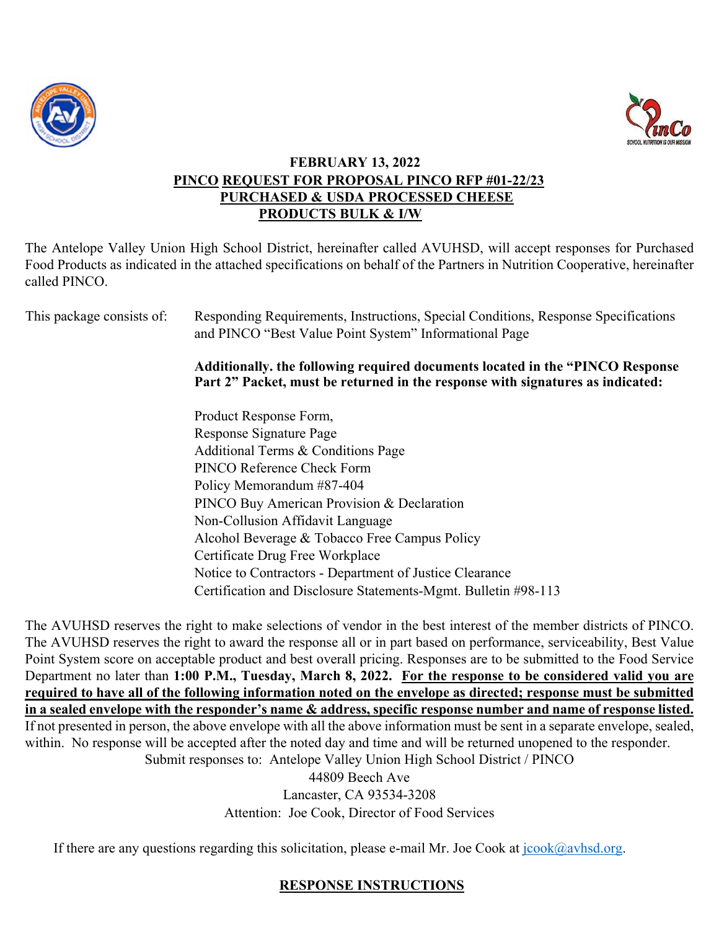



### **FEBRUARY 13, 2022 PINCO REQUEST FOR PROPOSAL PINCO RFP #01-22/23 PURCHASED & USDA PROCESSED CHEESE PRODUCTS BULK & I/W**

The Antelope Valley Union High School District, hereinafter called AVUHSD, will accept responses for Purchased Food Products as indicated in the attached specifications on behalf of the Partners in Nutrition Cooperative, hereinafter called PINCO.

| This package consists of: | Responding Requirements, Instructions, Special Conditions, Response Specifications<br>and PINCO "Best Value Point System" Informational Page                     |  |
|---------------------------|------------------------------------------------------------------------------------------------------------------------------------------------------------------|--|
|                           | Additionally, the following required documents located in the "PINCO Response"<br>Part 2" Packet, must be returned in the response with signatures as indicated: |  |
|                           | Product Response Form,                                                                                                                                           |  |
|                           | Response Signature Page                                                                                                                                          |  |
|                           | Additional Terms & Conditions Page                                                                                                                               |  |
|                           | PINCO Reference Check Form                                                                                                                                       |  |
|                           | Policy Memorandum #87-404                                                                                                                                        |  |
|                           | PINCO Buy American Provision & Declaration                                                                                                                       |  |
|                           | Non-Collusion Affidavit Language                                                                                                                                 |  |
|                           | Alcohol Beverage & Tobacco Free Campus Policy                                                                                                                    |  |
|                           | Certificate Drug Free Workplace                                                                                                                                  |  |
|                           | Notice to Contractors - Department of Justice Clearance                                                                                                          |  |
|                           | Certification and Disclosure Statements-Mgmt. Bulletin #98-113                                                                                                   |  |

The AVUHSD reserves the right to make selections of vendor in the best interest of the member districts of PINCO. The AVUHSD reserves the right to award the response all or in part based on performance, serviceability, Best Value Point System score on acceptable product and best overall pricing. Responses are to be submitted to the Food Service Department no later than **1:00 P.M., Tuesday, March 8, 2022. For the response to be considered valid you are required to have all of the following information noted on the envelope as directed; response must be submitted in a sealed envelope with the responder's name & address, specific response number and name of response listed.** If not presented in person, the above envelope with all the above information must be sent in a separate envelope, sealed, within. No response will be accepted after the noted day and time and will be returned unopened to the responder. Submit responses to: Antelope Valley Union High School District / PINCO

44809 Beech Ave Lancaster, CA 93534-3208 Attention: Joe Cook, Director of Food Services

If there are any questions regarding this solicitation, please e-mail Mr. Joe Cook at  $\frac{\partial \phi}{\partial x}$  avhsd.org.

## **RESPONSE INSTRUCTIONS**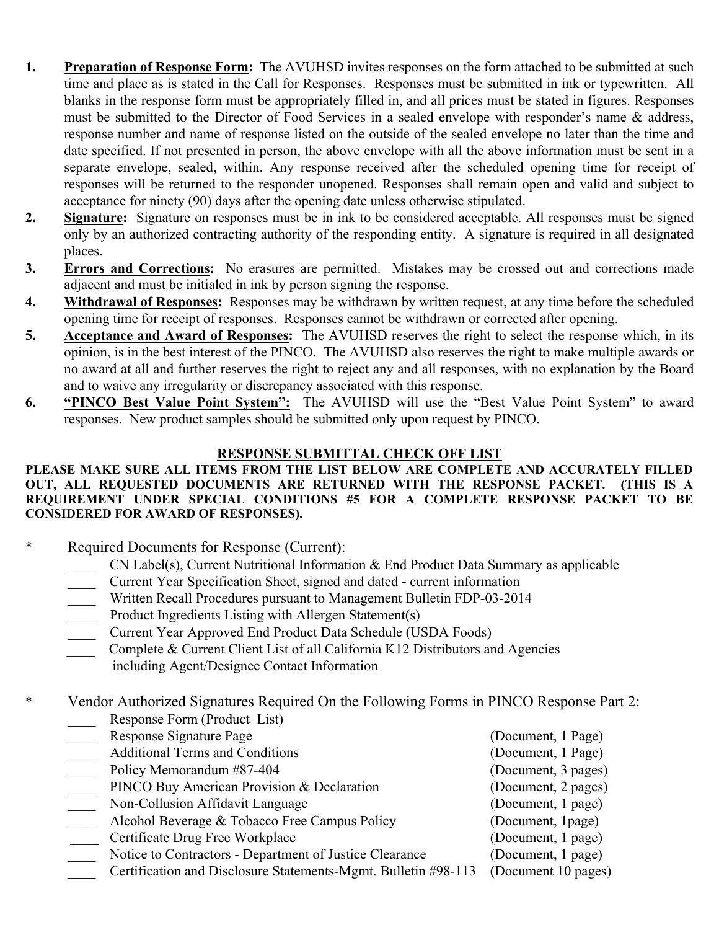- **1. Preparation of Response Form:** The AVUHSD invites responses on the form attached to be submitted at such time and place as is stated in the Call for Responses. Responses must be submitted in ink or typewritten. All blanks in the response form must be appropriately filled in, and all prices must be stated in figures. Responses must be submitted to the Director of Food Services in a sealed envelope with responder's name & address, response number and name of response listed on the outside of the sealed envelope no later than the time and date specified. If not presented in person, the above envelope with all the above information must be sent in a separate envelope, sealed, within. Any response received after the scheduled opening time for receipt of responses will be returned to the responder unopened. Responses shall remain open and valid and subject to acceptance for ninety (90) days after the opening date unless otherwise stipulated.
- **2. Signature:** Signature on responses must be in ink to be considered acceptable. All responses must be signed only by an authorized contracting authority of the responding entity. A signature is required in all designated places.
- **3. Errors and Corrections:** No erasures are permitted. Mistakes may be crossed out and corrections made adjacent and must be initialed in ink by person signing the response.
- **4. Withdrawal of Responses:** Responses may be withdrawn by written request, at any time before the scheduled opening time for receipt of responses. Responses cannot be withdrawn or corrected after opening.
- **5. Acceptance and Award of Responses:** The AVUHSD reserves the right to select the response which, in its opinion, is in the best interest of the PINCO. The AVUHSD also reserves the right to make multiple awards or no award at all and further reserves the right to reject any and all responses, with no explanation by the Board and to waive any irregularity or discrepancy associated with this response.
- **6. "PINCO Best Value Point System":** The AVUHSD will use the "Best Value Point System" to award responses. New product samples should be submitted only upon request by PINCO.

## **RESPONSE SUBMITTAL CHECK OFF LIST**

#### **PLEASE MAKE SURE ALL ITEMS FROM THE LIST BELOW ARE COMPLETE AND ACCURATELY FILLED OUT, ALL REQUESTED DOCUMENTS ARE RETURNED WITH THE RESPONSE PACKET. (THIS IS A REQUIREMENT UNDER SPECIAL CONDITIONS #5 FOR A COMPLETE RESPONSE PACKET TO BE CONSIDERED FOR AWARD OF RESPONSES).**

- \* Required Documents for Response (Current):
	- $CN$  Label(s), Current Nutritional Information  $\&$  End Product Data Summary as applicable
	- \_\_\_\_ Current Year Specification Sheet, signed and dated current information
	- Written Recall Procedures pursuant to Management Bulletin FDP-03-2014
	- **Example 1** Product Ingredients Listing with Allergen Statement(s)
	- \_\_\_\_ Current Year Approved End Product Data Schedule (USDA Foods)
	- Complete & Current Client List of all California K12 Distributors and Agencies including Agent/Designee Contact Information

# \* Vendor Authorized Signatures Required On the Following Forms in PINCO Response Part 2:

| Response Form (Product List)                                   |                     |
|----------------------------------------------------------------|---------------------|
| Response Signature Page                                        | (Document, 1 Page)  |
| <b>Additional Terms and Conditions</b>                         | (Document, 1 Page)  |
| Policy Memorandum #87-404                                      | (Document, 3 pages) |
| PINCO Buy American Provision & Declaration                     | (Document, 2 pages) |
| Non-Collusion Affidavit Language                               | (Document, 1 page)  |
| Alcohol Beverage & Tobacco Free Campus Policy                  | (Document, 1page)   |
| Certificate Drug Free Workplace                                | (Document, 1 page)  |
| Notice to Contractors - Department of Justice Clearance        | (Document, 1 page)  |
| Certification and Disclosure Statements-Mgmt. Bulletin #98-113 | (Document 10 pages) |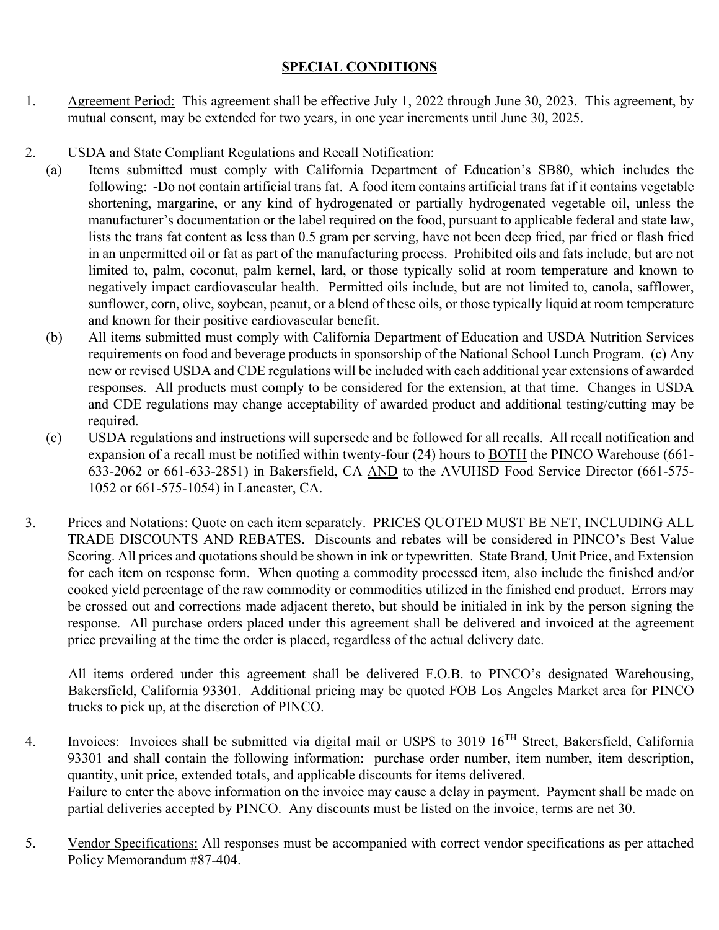# **SPECIAL CONDITIONS**

- 1. Agreement Period: This agreement shall be effective July 1, 2022 through June 30, 2023. This agreement, by mutual consent, may be extended for two years, in one year increments until June 30, 2025.
- 2. USDA and State Compliant Regulations and Recall Notification:
	- (a) Items submitted must comply with California Department of Education's SB80, which includes the following: -Do not contain artificial trans fat. A food item contains artificial trans fat if it contains vegetable shortening, margarine, or any kind of hydrogenated or partially hydrogenated vegetable oil, unless the manufacturer's documentation or the label required on the food, pursuant to applicable federal and state law, lists the trans fat content as less than 0.5 gram per serving, have not been deep fried, par fried or flash fried in an unpermitted oil or fat as part of the manufacturing process. Prohibited oils and fats include, but are not limited to, palm, coconut, palm kernel, lard, or those typically solid at room temperature and known to negatively impact cardiovascular health. Permitted oils include, but are not limited to, canola, safflower, sunflower, corn, olive, soybean, peanut, or a blend of these oils, or those typically liquid at room temperature and known for their positive cardiovascular benefit.
	- (b) All items submitted must comply with California Department of Education and USDA Nutrition Services requirements on food and beverage products in sponsorship of the National School Lunch Program. (c) Any new or revised USDA and CDE regulations will be included with each additional year extensions of awarded responses. All products must comply to be considered for the extension, at that time. Changes in USDA and CDE regulations may change acceptability of awarded product and additional testing/cutting may be required.
	- (c) USDA regulations and instructions will supersede and be followed for all recalls. All recall notification and expansion of a recall must be notified within twenty-four (24) hours to BOTH the PINCO Warehouse (661- 633-2062 or 661-633-2851) in Bakersfield, CA AND to the AVUHSD Food Service Director (661-575- 1052 or 661-575-1054) in Lancaster, CA.
- 3. Prices and Notations: Quote on each item separately. PRICES QUOTED MUST BE NET, INCLUDING ALL TRADE DISCOUNTS AND REBATES. Discounts and rebates will be considered in PINCO's Best Value Scoring. All prices and quotations should be shown in ink or typewritten. State Brand, Unit Price, and Extension for each item on response form. When quoting a commodity processed item, also include the finished and/or cooked yield percentage of the raw commodity or commodities utilized in the finished end product. Errors may be crossed out and corrections made adjacent thereto, but should be initialed in ink by the person signing the response. All purchase orders placed under this agreement shall be delivered and invoiced at the agreement price prevailing at the time the order is placed, regardless of the actual delivery date.

All items ordered under this agreement shall be delivered F.O.B. to PINCO's designated Warehousing, Bakersfield, California 93301. Additional pricing may be quoted FOB Los Angeles Market area for PINCO trucks to pick up, at the discretion of PINCO.

- 4. Invoices: Invoices shall be submitted via digital mail or USPS to 3019 16TH Street, Bakersfield, California 93301 and shall contain the following information: purchase order number, item number, item description, quantity, unit price, extended totals, and applicable discounts for items delivered. Failure to enter the above information on the invoice may cause a delay in payment. Payment shall be made on partial deliveries accepted by PINCO. Any discounts must be listed on the invoice, terms are net 30.
- 5. Vendor Specifications: All responses must be accompanied with correct vendor specifications as per attached Policy Memorandum #87-404.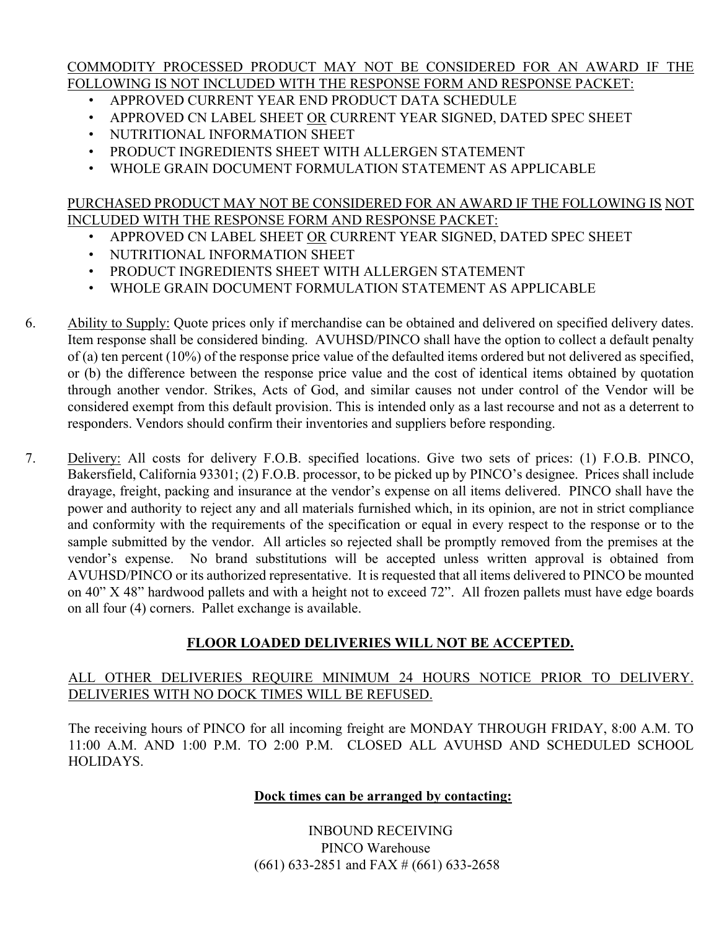#### COMMODITY PROCESSED PRODUCT MAY NOT BE CONSIDERED FOR AN AWARD IF THE FOLLOWING IS NOT INCLUDED WITH THE RESPONSE FORM AND RESPONSE PACKET:

- APPROVED CURRENT YEAR END PRODUCT DATA SCHEDULE
- APPROVED CN LABEL SHEET OR CURRENT YEAR SIGNED, DATED SPEC SHEET
- NUTRITIONAL INFORMATION SHEET
- PRODUCT INGREDIENTS SHEET WITH ALLERGEN STATEMENT
- WHOLE GRAIN DOCUMENT FORMULATION STATEMENT AS APPLICABLE

### PURCHASED PRODUCT MAY NOT BE CONSIDERED FOR AN AWARD IF THE FOLLOWING IS NOT INCLUDED WITH THE RESPONSE FORM AND RESPONSE PACKET:

- APPROVED CN LABEL SHEET OR CURRENT YEAR SIGNED, DATED SPEC SHEET
- NUTRITIONAL INFORMATION SHEET
- PRODUCT INGREDIENTS SHEET WITH ALLERGEN STATEMENT
- WHOLE GRAIN DOCUMENT FORMULATION STATEMENT AS APPLICABLE
- 6. Ability to Supply: Quote prices only if merchandise can be obtained and delivered on specified delivery dates. Item response shall be considered binding. AVUHSD/PINCO shall have the option to collect a default penalty of (a) ten percent (10%) of the response price value of the defaulted items ordered but not delivered as specified, or (b) the difference between the response price value and the cost of identical items obtained by quotation through another vendor. Strikes, Acts of God, and similar causes not under control of the Vendor will be considered exempt from this default provision. This is intended only as a last recourse and not as a deterrent to responders. Vendors should confirm their inventories and suppliers before responding.
- 7. Delivery: All costs for delivery F.O.B. specified locations. Give two sets of prices: (1) F.O.B. PINCO, Bakersfield, California 93301; (2) F.O.B. processor, to be picked up by PINCO's designee. Prices shall include drayage, freight, packing and insurance at the vendor's expense on all items delivered. PINCO shall have the power and authority to reject any and all materials furnished which, in its opinion, are not in strict compliance and conformity with the requirements of the specification or equal in every respect to the response or to the sample submitted by the vendor. All articles so rejected shall be promptly removed from the premises at the vendor's expense. No brand substitutions will be accepted unless written approval is obtained from AVUHSD/PINCO or its authorized representative. It is requested that all items delivered to PINCO be mounted on 40" X 48" hardwood pallets and with a height not to exceed 72". All frozen pallets must have edge boards on all four (4) corners. Pallet exchange is available.

## **FLOOR LOADED DELIVERIES WILL NOT BE ACCEPTED.**

## ALL OTHER DELIVERIES REQUIRE MINIMUM 24 HOURS NOTICE PRIOR TO DELIVERY. DELIVERIES WITH NO DOCK TIMES WILL BE REFUSED.

The receiving hours of PINCO for all incoming freight are MONDAY THROUGH FRIDAY, 8:00 A.M. TO 11:00 A.M. AND 1:00 P.M. TO 2:00 P.M. CLOSED ALL AVUHSD AND SCHEDULED SCHOOL HOLIDAYS.

## **Dock times can be arranged by contacting:**

INBOUND RECEIVING PINCO Warehouse (661) 633-2851 and FAX # (661) 633-2658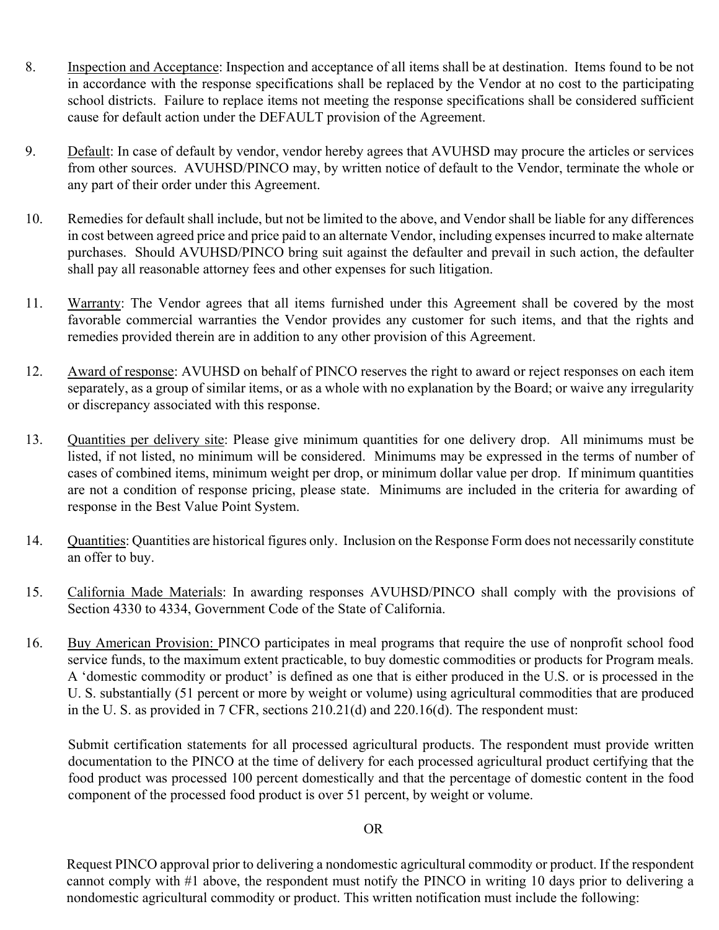- 8. Inspection and Acceptance: Inspection and acceptance of all items shall be at destination. Items found to be not in accordance with the response specifications shall be replaced by the Vendor at no cost to the participating school districts. Failure to replace items not meeting the response specifications shall be considered sufficient cause for default action under the DEFAULT provision of the Agreement.
- 9. Default: In case of default by vendor, vendor hereby agrees that AVUHSD may procure the articles or services from other sources. AVUHSD/PINCO may, by written notice of default to the Vendor, terminate the whole or any part of their order under this Agreement.
- 10. Remedies for default shall include, but not be limited to the above, and Vendor shall be liable for any differences in cost between agreed price and price paid to an alternate Vendor, including expenses incurred to make alternate purchases. Should AVUHSD/PINCO bring suit against the defaulter and prevail in such action, the defaulter shall pay all reasonable attorney fees and other expenses for such litigation.
- 11. Warranty: The Vendor agrees that all items furnished under this Agreement shall be covered by the most favorable commercial warranties the Vendor provides any customer for such items, and that the rights and remedies provided therein are in addition to any other provision of this Agreement.
- 12. Award of response: AVUHSD on behalf of PINCO reserves the right to award or reject responses on each item separately, as a group of similar items, or as a whole with no explanation by the Board; or waive any irregularity or discrepancy associated with this response.
- 13. Quantities per delivery site: Please give minimum quantities for one delivery drop. All minimums must be listed, if not listed, no minimum will be considered. Minimums may be expressed in the terms of number of cases of combined items, minimum weight per drop, or minimum dollar value per drop. If minimum quantities are not a condition of response pricing, please state. Minimums are included in the criteria for awarding of response in the Best Value Point System.
- 14. Quantities: Quantities are historical figures only. Inclusion on the Response Form does not necessarily constitute an offer to buy.
- 15. California Made Materials: In awarding responses AVUHSD/PINCO shall comply with the provisions of Section 4330 to 4334, Government Code of the State of California.
- 16. Buy American Provision: PINCO participates in meal programs that require the use of nonprofit school food service funds, to the maximum extent practicable, to buy domestic commodities or products for Program meals. A 'domestic commodity or product' is defined as one that is either produced in the U.S. or is processed in the U. S. substantially (51 percent or more by weight or volume) using agricultural commodities that are produced in the U. S. as provided in 7 CFR, sections 210.21(d) and 220.16(d). The respondent must:

Submit certification statements for all processed agricultural products. The respondent must provide written documentation to the PINCO at the time of delivery for each processed agricultural product certifying that the food product was processed 100 percent domestically and that the percentage of domestic content in the food component of the processed food product is over 51 percent, by weight or volume.

### OR

 Request PINCO approval prior to delivering a nondomestic agricultural commodity or product. If the respondent cannot comply with #1 above, the respondent must notify the PINCO in writing 10 days prior to delivering a nondomestic agricultural commodity or product. This written notification must include the following: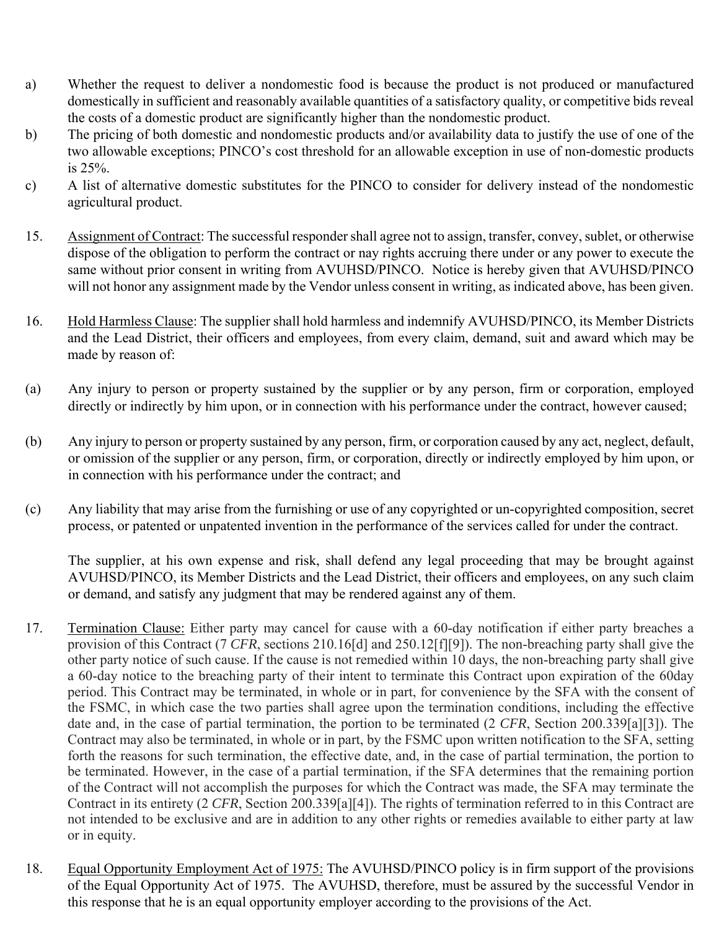- a) Whether the request to deliver a nondomestic food is because the product is not produced or manufactured domestically in sufficient and reasonably available quantities of a satisfactory quality, or competitive bids reveal the costs of a domestic product are significantly higher than the nondomestic product.
- b) The pricing of both domestic and nondomestic products and/or availability data to justify the use of one of the two allowable exceptions; PINCO's cost threshold for an allowable exception in use of non-domestic products is 25%.
- c) A list of alternative domestic substitutes for the PINCO to consider for delivery instead of the nondomestic agricultural product.
- 15. Assignment of Contract: The successful responder shall agree not to assign, transfer, convey, sublet, or otherwise dispose of the obligation to perform the contract or nay rights accruing there under or any power to execute the same without prior consent in writing from AVUHSD/PINCO. Notice is hereby given that AVUHSD/PINCO will not honor any assignment made by the Vendor unless consent in writing, as indicated above, has been given.
- 16. Hold Harmless Clause: The supplier shall hold harmless and indemnify AVUHSD/PINCO, its Member Districts and the Lead District, their officers and employees, from every claim, demand, suit and award which may be made by reason of:
- (a) Any injury to person or property sustained by the supplier or by any person, firm or corporation, employed directly or indirectly by him upon, or in connection with his performance under the contract, however caused;
- (b) Any injury to person or property sustained by any person, firm, or corporation caused by any act, neglect, default, or omission of the supplier or any person, firm, or corporation, directly or indirectly employed by him upon, or in connection with his performance under the contract; and
- (c) Any liability that may arise from the furnishing or use of any copyrighted or un-copyrighted composition, secret process, or patented or unpatented invention in the performance of the services called for under the contract.

The supplier, at his own expense and risk, shall defend any legal proceeding that may be brought against AVUHSD/PINCO, its Member Districts and the Lead District, their officers and employees, on any such claim or demand, and satisfy any judgment that may be rendered against any of them.

- 17. Termination Clause: Either party may cancel for cause with a 60-day notification if either party breaches a provision of this Contract (7 *CFR*, sections 210.16[d] and 250.12[f][9]). The non-breaching party shall give the other party notice of such cause. If the cause is not remedied within 10 days, the non-breaching party shall give a 60-day notice to the breaching party of their intent to terminate this Contract upon expiration of the 60day period. This Contract may be terminated, in whole or in part, for convenience by the SFA with the consent of the FSMC, in which case the two parties shall agree upon the termination conditions, including the effective date and, in the case of partial termination, the portion to be terminated (2 *CFR*, Section 200.339[a][3]). The Contract may also be terminated, in whole or in part, by the FSMC upon written notification to the SFA, setting forth the reasons for such termination, the effective date, and, in the case of partial termination, the portion to be terminated. However, in the case of a partial termination, if the SFA determines that the remaining portion of the Contract will not accomplish the purposes for which the Contract was made, the SFA may terminate the Contract in its entirety (2 *CFR*, Section 200.339[a][4]). The rights of termination referred to in this Contract are not intended to be exclusive and are in addition to any other rights or remedies available to either party at law or in equity.
- 18. Equal Opportunity Employment Act of 1975: The AVUHSD/PINCO policy is in firm support of the provisions of the Equal Opportunity Act of 1975. The AVUHSD, therefore, must be assured by the successful Vendor in this response that he is an equal opportunity employer according to the provisions of the Act.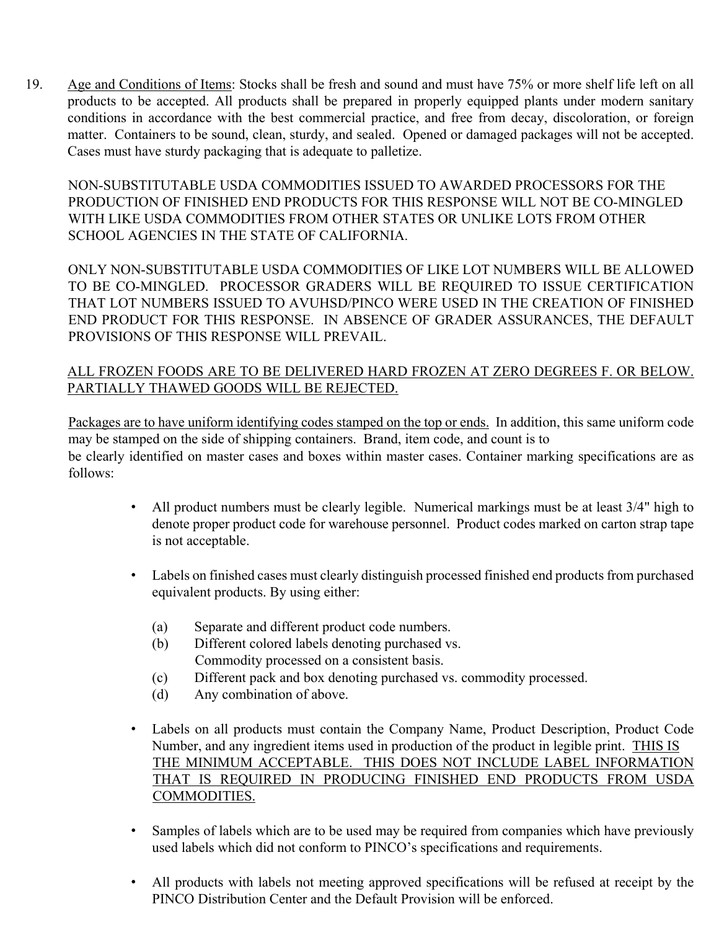19. Age and Conditions of Items: Stocks shall be fresh and sound and must have 75% or more shelf life left on all products to be accepted. All products shall be prepared in properly equipped plants under modern sanitary conditions in accordance with the best commercial practice, and free from decay, discoloration, or foreign matter. Containers to be sound, clean, sturdy, and sealed. Opened or damaged packages will not be accepted. Cases must have sturdy packaging that is adequate to palletize.

NON-SUBSTITUTABLE USDA COMMODITIES ISSUED TO AWARDED PROCESSORS FOR THE PRODUCTION OF FINISHED END PRODUCTS FOR THIS RESPONSE WILL NOT BE CO-MINGLED WITH LIKE USDA COMMODITIES FROM OTHER STATES OR UNLIKE LOTS FROM OTHER SCHOOL AGENCIES IN THE STATE OF CALIFORNIA.

ONLY NON-SUBSTITUTABLE USDA COMMODITIES OF LIKE LOT NUMBERS WILL BE ALLOWED TO BE CO-MINGLED. PROCESSOR GRADERS WILL BE REQUIRED TO ISSUE CERTIFICATION THAT LOT NUMBERS ISSUED TO AVUHSD/PINCO WERE USED IN THE CREATION OF FINISHED END PRODUCT FOR THIS RESPONSE. IN ABSENCE OF GRADER ASSURANCES, THE DEFAULT PROVISIONS OF THIS RESPONSE WILL PREVAIL.

## ALL FROZEN FOODS ARE TO BE DELIVERED HARD FROZEN AT ZERO DEGREES F. OR BELOW. PARTIALLY THAWED GOODS WILL BE REJECTED.

Packages are to have uniform identifying codes stamped on the top or ends. In addition, this same uniform code may be stamped on the side of shipping containers. Brand, item code, and count is to be clearly identified on master cases and boxes within master cases. Container marking specifications are as follows:

- All product numbers must be clearly legible. Numerical markings must be at least 3/4" high to denote proper product code for warehouse personnel. Product codes marked on carton strap tape is not acceptable.
- Labels on finished cases must clearly distinguish processed finished end products from purchased equivalent products. By using either:
	- (a) Separate and different product code numbers.
	- (b) Different colored labels denoting purchased vs. Commodity processed on a consistent basis.
	- (c) Different pack and box denoting purchased vs. commodity processed.
	- (d) Any combination of above.
- Labels on all products must contain the Company Name, Product Description, Product Code Number, and any ingredient items used in production of the product in legible print. THIS IS THE MINIMUM ACCEPTABLE. THIS DOES NOT INCLUDE LABEL INFORMATION THAT IS REQUIRED IN PRODUCING FINISHED END PRODUCTS FROM USDA COMMODITIES.
- Samples of labels which are to be used may be required from companies which have previously used labels which did not conform to PINCO's specifications and requirements.
- All products with labels not meeting approved specifications will be refused at receipt by the PINCO Distribution Center and the Default Provision will be enforced.